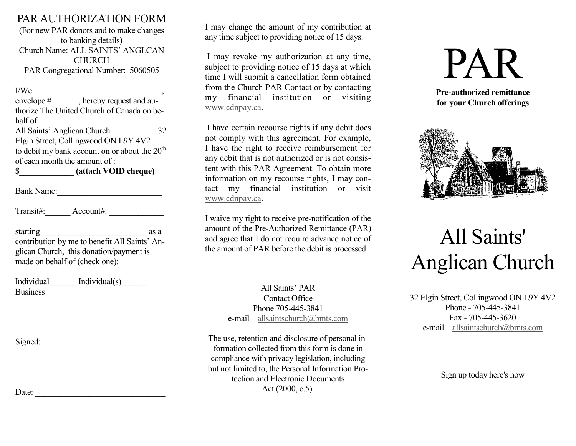### PAR AUTHORIZATION FORM

(For new PAR donors and to make changes to banking details) Church Name: ALL SAINTS' ANGLCAN **CHURCH** PAR Congregational Number: 5060505

| I/We                         |                                                 |    |
|------------------------------|-------------------------------------------------|----|
|                              | envelope #, hereby request and au-              |    |
|                              | thorize The United Church of Canada on be-      |    |
| half of:                     |                                                 |    |
| All Saints' Anglican Church  |                                                 | 32 |
|                              | Elgin Street, Collingwood ON L9Y 4V2            |    |
|                              | to debit my bank account on or about the $20th$ |    |
| of each month the amount of: |                                                 |    |
| \$                           | (attach VOID cheque)                            |    |

Bank Name:

Transit#: Account#:

| starting                                      | as a |
|-----------------------------------------------|------|
| contribution by me to benefit All Saints' An- |      |
| glican Church, this donation/payment is       |      |
| made on behalf of (check one):                |      |

| Individual      | Individual(s) |
|-----------------|---------------|
| <b>Business</b> |               |

Signed:

I may change the amount of my contribution at any time subject to providing notice of 15 days.

I may revoke my authorization at any time, subject to providing notice of 15 days at which time I will submit a cancellation form obtained from the Church PAR Contact or by contacting my financial institution or visiting [www.cdnpay.ca.](http://www.cdnpay.ca/)

I have certain recourse rights if any debit does not comply with this agreement. For example, I have the right to receive reimbursement for any debit that is not authorized or is not consistent with this PAR Agreement. To obtain more information on my recourse rights, I may contact my financial institution or visit [www.cdnpay.ca.](http://www.cdnpay.ca/)

I waive my right to receive pre-notification of the amount of the Pre-Authorized Remittance (PAR) and agree that I do not require advance notice of the amount of PAR before the debit is processed.

> All Saints' PAR Contact Office Phone 705-445-3841 e-mail – [allsaintschurch@bmts.com](mailto:allsaintschurch@bmts.com)

The use, retention and disclosure of personal information collected from this form is done in compliance with privacy legislation, including but not limited to, the Personal Information Protection and Electronic Documents Act (2000, c.5).

PAR

**Pre-authorized remittance for your Church offerings**



# All Saints' Anglican Church

32 Elgin Street, Collingwood ON L9Y 4V2 Phone - 705-445-3841 Fax - 705-445-3620 e-mail – [allsaintschurch@bmts.com](mailto:allsaintschurch@bmts.com)

Sign up today here's how

Date: